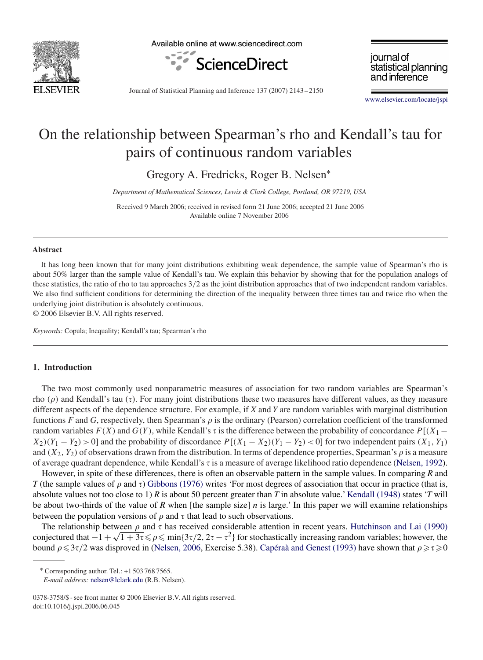

Available online at www.sciencedirect.com



journal of statistical planning and inference

Journal of Statistical Planning and Inference 137 (2007) 2143 – 2150

[www.elsevier.com/locate/jspi](http://www.elsevier.com/locate/jspi)

# On the relationship between Spearman's rho and Kendall's tau for pairs of continuous random variables

Gregory A. Fredricks, Roger B. Nelsen<sup>∗</sup>

*Department of Mathematical Sciences, Lewis & Clark College, Portland, OR 97219, USA*

Received 9 March 2006; received in revised form 21 June 2006; accepted 21 June 2006 Available online 7 November 2006

#### **Abstract**

It has long been known that for many joint distributions exhibiting weak dependence, the sample value of Spearman's rho is about 50% larger than the sample value of Kendall's tau. We explain this behavior by showing that for the population analogs of these statistics, the ratio of rho to tau approaches 3/2 as the joint distribution approaches that of two independent random variables. We also find sufficient conditions for determining the direction of the inequality between three times tau and twice rho when the underlying joint distribution is absolutely continuous.

© 2006 Elsevier B.V. All rights reserved.

*Keywords:* Copula; Inequality; Kendall's tau; Spearman's rho

## **1. Introduction**

The two most commonly used nonparametric measures of association for two random variables are Spearman's rho  $(\rho)$  and Kendall's tau  $(\tau)$ . For many joint distributions these two measures have different values, as they measure different aspects of the dependence structure. For example, if X and X are random variables with ma different aspects of the dependence structure. For example, if *X* and *Y* are random variables with marginal distribution functions *F* and *G*, respectively, then Spearman's  $\rho$  is the ordinary (Pearson) correlation coefficient of the transformed random variables  $F(X)$  and  $G(Y)$ , while Kendall's  $\tau$  is the difference between the probability of concordance  $P[(X_1 X_2(Y_1 - Y_2) > 0$ ] and the probability of discordance  $P[(X_1 - X_2)(Y_1 - Y_2) < 0]$  for two independent pairs  $(X_1, Y_1)$ and  $(X_2, Y_2)$  of observations drawn from the distribution. In terms of dependence properties, Spearman's  $\rho$  is a measure<br>of average quadrant dependence, while Kendall's  $\tau$  is a measure of average likelihood ratio dep of average quadrant dependence, while Kendall's  $\tau$  is a measure of average likelihood ratio dependence [\(Nelsen, 1992\)](#page-7-0).

However, in spite of these differences, there is often an observable pattern in the sample values. In comparing *R* and *T* (the sample values of  $\rho$  and  $\tau$ ) [Gibbons \(1976\)](#page-7-0) writes 'For most degrees of association that occur in practice (that is, absolute values not too close to 1) *R* is about 50 percent greater than *T* in absolute value.' [Kendall \(1948\)](#page-7-0) states '*T* will be about two-thirds of the value of  $R$  when [the sample size]  $n$  is large.' In this paper we will examine relationships between the population versions of  $\rho$  and  $\tau$  that lead to such observations.

The relationship between  $\rho$  and  $\tau$  has received considerable attention in recent years. [Hutchinson and Lai \(1990\)](#page-7-0) The relationship between  $\rho$  and  $\tau$  has received considerable attention in recent years. Hutchinson and Lat (1990) conjectured that  $-1 + \sqrt{1+3\tau} \leq \rho \leq \min\{3\tau/2, 2\tau - \tau^2\}$  for stochastically increasing random varia bound  $\rho \leq 3\tau/2$  was disproved in [\(Nelsen, 2006,](#page-7-0) Exercise 5.38). [Capéraà and Genest \(1993\)](#page-7-0) have shown that  $\rho \geq \tau \geq 0$ 

<sup>∗</sup> Corresponding author. Tel.: +1 503 768 7565.

*E-mail address:* [nelsen@lclark.edu](mailto:nelsen@lclark.edu) (R.B. Nelsen).

<sup>0378-3758/\$ -</sup> see front matter © 2006 Elsevier B.V. All rights reserved. doi:10.1016/j.jspi.2006.06.045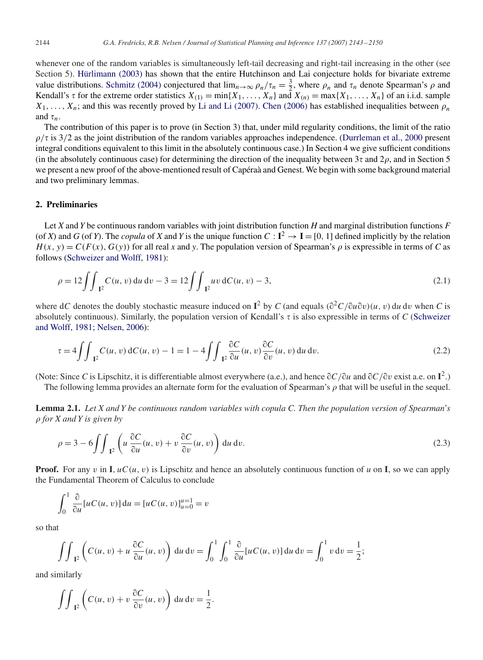whenever one of the random variables is simultaneously left-tail decreasing and right-tail increasing in the other (see Section 5). [Hürlimann \(2003\)](#page-7-0) has shown that the entire Hutchinson and Lai conjecture holds for bivariate extreme value distributions. [Schmitz \(2004\)](#page-7-0) conjectured that  $\lim_{n\to\infty} \rho_n/\tau_n = \frac{3}{2}$ , where  $\rho_n$  and  $\tau_n$  denote Spearman's  $\rho$  and<br>Kendall's  $\tau$  for the extreme order statistics  $X(x) = \min_{\lambda} X$ ,  $X = \text{mod } X(x) = \max_{\lambda} X$ ,  $X = \text{$ Kendall's  $\tau$  for the extreme order statistics  $X_{(1)} = \min\{X_1, \ldots, X_n\}$  and  $X_{(n)} = \max\{X_1, \ldots, X_n\}$  of an i.i.d. sample  $X_1,\ldots,X_n$ ; and this was recently proved by [Li and Li \(2007\).](#page-7-0) [Chen \(2006\)](#page-7-0) has established inequalities between  $\rho_n$ and  $\tau_n$ .

The contribution of this paper is to prove (in Section 3) that, under mild regularity conditions, the limit of the ratio  $\rho/\tau$  is 3/2 as the joint distribution of the random variables approaches independence. [\(Durrleman et al., 2000](#page-7-0) present<br>integral conditions equivalent to this limit in the absolutely continuous case.) In Section 4 we giv integral conditions equivalent to this limit in the absolutely continuous case.) In Section 4 we give sufficient conditions (in the absolutely continuous case) for determining the direction of the inequality between  $3\tau$  and  $2\rho$ , and in Section 5 we present a new proof of the above-mentioned result of Capéraà and Genest. We begin with some background material and two preliminary lemmas.

## **2. Preliminaries**

Let *X* and *Y* be continuous random variables with joint distribution function *H* and marginal distribution functions *F* (of *X*) and *G* (of *Y*). The *copula* of *X* and *Y* is the unique function  $C: I^2 \to I = [0, 1]$  defined implicitly by the relation  $H(x, y) = C(F(x), G(y))$  for all real *x* and *y*. The population version of Spearman's  $\rho$  is expressible in terms of *C* as follows (Schweizer and Wolff 1981). follows [\(Schweizer and Wolff, 1981\)](#page-7-0):

$$
\rho = 12 \iint_{\mathbb{I}^2} C(u, v) \, du \, dv - 3 = 12 \iint_{\mathbb{I}^2} uv \, dC(u, v) - 3,\tag{2.1}
$$

where dC denotes the doubly stochastic measure induced on  $I^2$  by C (and equals  $(\partial^2 C/\partial u \partial v)(u, v)$  du dv when C is<br>absolutely continuous). Similarly, the population version of Kendall's *z* is also expressible in terms o absolutely continuous). Similarly, the population version of Kendall's  $\tau$  is also expressible in terms of *C* (Schweizer and Wolff, 1981; Nelsen, 2006):

$$
\tau = 4 \int \int \int_{\mathbb{R}^2} C(u, v) \, dC(u, v) - 1 = 1 - 4 \int \int \int_{\mathbb{R}^2} \frac{\partial C}{\partial u}(u, v) \frac{\partial C}{\partial v}(u, v) \, du \, dv. \tag{2.2}
$$

(Note: Since *C* is Lipschitz, it is differentiable almost everywhere (a.e.), and hence  $\partial C/\partial u$  and  $\partial C/\partial v$  exist a.e. on **I**<sup>2</sup>.)

The following lemma provides an alternate form for the evaluation of Spearman's  $\rho$  that will be useful in the sequel.

**Lemma 2.1.** *Let X and Y be continuous random variables with copula C. Then the population version of Spearman*'*s* - *for X and Y is given by*

$$
\rho = 3 - 6 \iint_{I^2} \left( u \frac{\partial C}{\partial u}(u, v) + v \frac{\partial C}{\partial v}(u, v) \right) du dv.
$$
\n(2.3)

**Proof.** For any v in **I**,  $uC(u, v)$  is Lipschitz and hence an absolutely continuous function of *u* on **I**, so we can apply the Fundamental Theorem of Calculus to conclude

$$
\int_0^1 \frac{\partial}{\partial u} [uC(u, v)] du = [uC(u, v)]_{u=0}^{u=1} = v
$$

so that

$$
\iint_{I^2} \left( C(u, v) + u \frac{\partial C}{\partial u}(u, v) \right) du dv = \int_0^1 \int_0^1 \frac{\partial}{\partial u} [u C(u, v)] du dv = \int_0^1 v dv = \frac{1}{2};
$$

and similarly

$$
\iint_{\mathbf{I}^2} \left( C(u,v) + v \, \frac{\partial C}{\partial v}(u,v) \right) \, \mathrm{d}u \, \mathrm{d}v = \frac{1}{2}.
$$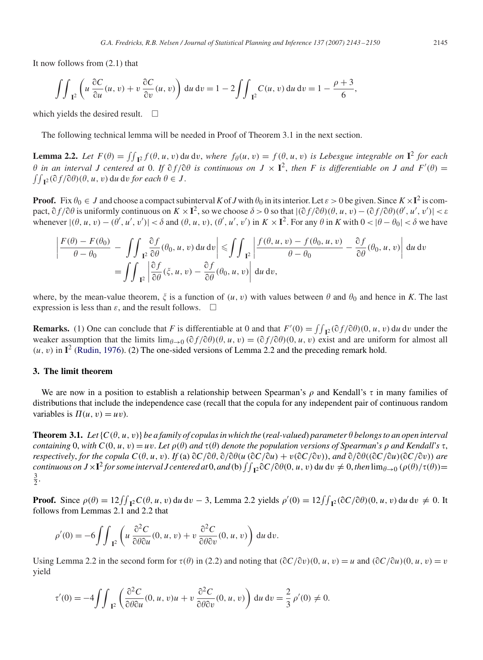It now follows from (2.1) that

$$
\iint_{I^2} \left( u \frac{\partial C}{\partial u}(u, v) + v \frac{\partial C}{\partial v}(u, v) \right) du dv = 1 - 2 \iint_{I^2} C(u, v) du dv = 1 - \frac{\rho + 3}{6},
$$

which yields the desired result.  $\Box$ 

The following technical lemma will be needed in Proof of Theorem 3.1 in the next section.

**Lemma 2.2.** *Let*  $F(\theta) = \iint_{\mathbf{I}^2} f(\theta, u, v) du dv$ , where  $f_{\theta}(u, v) = f(\theta, u, v)$  is *Lebesgue integrable on*  $\mathbf{I}^2$  *for each*  $\theta$  *in an integrable Legerational Legerational at 0. If*  $\partial f(\theta) = \int_{\theta}^{2\pi} f(\theta) d\theta$  *is co*  $\theta$  in an interval *J* centered at 0. If  $\partial f / \partial \theta$  is continuous on  $J \times \mathbf{I}^2$ , then *F* is differentiable on *J* and  $F'(\theta) = \int \int_{\mathbf{I}^2} \partial f / \partial \theta ( \theta, u, v) du dv$  for each  $\theta \in J$ .  $I^2$ ( $\partial f$ / $\partial \theta$ )( $\theta$ ,  $u$ ,  $v$ ) du dv *for each*  $\theta \in J$ .

**Proof.** Fix  $\theta_0 \in J$  and choose a compact subinterval K of *J* with  $\theta_0$  in its interior. Let  $\varepsilon > 0$  be given. Since  $K \times I^2$  is compact,  $\partial f/\partial \theta$  is uniformly continuous on  $K \times I^2$ , so we choose  $\delta > 0$  so that  $|(\partial f/\partial \theta)(\theta, u, v) - (\partial f/\partial \theta)(\theta', u', v')| < \varepsilon$ <br>whenever  $|(\theta, u, v) - (\theta', u', v')| < \delta$  and  $(\theta, u, v) - (\theta', u', v')$  in  $K \times I^2$ . For any  $\theta$  in K with  $0 < |\theta - \theta$ whenever  $|(\theta, u, v) - (\theta', u', v')| < \delta$  and  $(\theta, u, v), (\theta', u', v')$  in  $K \times \mathbf{I}^2$ . For any  $\theta$  in  $K$  with  $0 < |\theta - \theta_0| < \delta$  we have

$$
\left| \frac{F(\theta) - F(\theta_0)}{\theta - \theta_0} - \iint_{\mathbf{I}^2} \frac{\partial f}{\partial \theta}(\theta_0, u, v) du dv \right| \leq \iint_{\mathbf{I}^2} \left| \frac{f(\theta, u, v) - f(\theta_0, u, v)}{\theta - \theta_0} - \frac{\partial f}{\partial \theta}(\theta_0, u, v) \right| du dv
$$
  
= 
$$
\iint_{\mathbf{I}^2} \left| \frac{\partial f}{\partial \theta}(\xi, u, v) - \frac{\partial f}{\partial \theta}(\theta_0, u, v) \right| du dv,
$$

where, by the mean-value theorem,  $\zeta$  is a function of  $(u, v)$  with values between  $\theta$  and  $\theta_0$  and hence in *K*. The last expression is less than  $\varepsilon$ , and the result follows.  $\Box$ 

**Remarks.** (1) One can conclude that *F* is differentiable at 0 and that  $F'(0) = \iint_{\mathbb{R}^2} (\partial f/\partial \theta)(0, u, v) du dv$  under the vecker assumption that the limits  $\lim_{\varepsilon \to 0} \partial \partial f/\partial \theta(u, u, v) - (\partial f/\partial \theta)(0, u, v)$  exist and are uniform weaker assumption that the limits  $\lim_{\theta \to 0} (\partial f/\partial \theta)(\theta, u, v) = (\partial f/\partial \theta)(0, u, v)$  exist and are uniform for almost all  $(u, v)$  in  $\mathbf{I}^2$ . (Rudin 1976) (2) The one-sided versions of Lemma 2.2 and the preceding remark hold  $(u, v)$  in  $I<sup>2</sup>$  [\(Rudin, 1976\)](#page-7-0). (2) The one-sided versions of Lemma 2.2 and the preceding remark hold.

#### **3. The limit theorem**

We are now in a position to establish a relationship between Spearman's  $\rho$  and Kendall's  $\tau$  in many families of distributions that include the independence case (recall that the copula for any independent pair of continuous random variables is  $\Pi(u, v) = uv$ ).

**Theorem 3.1.** Let  $\{C(\theta, u, v)\}$  be a family of copulas in which the (real-valued) parameter  $\theta$  belongs to an open interval *containing* 0, with  $C(0, u, v) = uv$ . Let  $\rho(\theta)$  *and*  $\tau(\theta)$  *denote the population versions of Spearman's*  $\rho$  *and Kendall's*  $\tau$ , respectively for the copula  $C(\theta, u, v)$ . If (a)  $\partial C/\partial \theta$   $\partial (\partial \theta(u), \partial C/\partial u) + v(\partial C/\partial v)$ , a *respectively, for the copula*  $C(\theta, u, v)$ . *If* (a)  $\partial C/\partial \theta$ ,  $\partial/\partial \theta(u$  ( $\partial C/\partial u) + v(\partial C/\partial v)$ ), and  $\partial/\partial \theta((\partial C/\partial u)(\partial C/\partial v))$  are<br>continuous on  $I \times I^2$  for some interval Legitared at 0, and (b)  $\int_{\theta}^{2} \partial C/\partial \theta(0, u, v) \, du \,$ *continuous on*  $J \times I^2$  *for some interval*  $J$  *centered at* 0, *and* (b)  $\int \int_{I^2} \partial C / \partial \theta (0, u, v)$  du  $dv \neq 0$ , *then*  $\lim_{\theta \to 0} (\rho(\theta)/\tau(\theta)) = \frac{3}{2}$  $\frac{3}{2}$ .

**Proof.** Since  $\rho(\theta) = 12 \iint_{\mathbf{R}} C(\theta, u, v) du dv - 3$ , Lemma 2.2 yields  $\rho'(0) = 12 \iint_{\mathbf{R}} C(\partial C/\partial \theta)(0, u, v) du dv \neq 0$ . It follows from Lemmas 2.1 and 2.2 that follows from Lemmas 2.1 and 2.2 that

$$
\rho'(0) = -6 \int \int_{\mathbb{T}^2} \left( u \frac{\partial^2 C}{\partial \theta \partial u}(0, u, v) + v \frac{\partial^2 C}{\partial \theta \partial v}(0, u, v) \right) du dv.
$$

Using Lemma 2.2 in the second form for  $\tau(\theta)$  in (2.2) and noting that  $(\partial C/\partial v)(0, u, v) = u$  and  $(\partial C/\partial u)(0, u, v) = v$ yield

$$
\tau'(0) = -4 \iint_{I^2} \left( \frac{\partial^2 C}{\partial \theta \partial u}(0, u, v)u + v \frac{\partial^2 C}{\partial \theta \partial v}(0, u, v) \right) du dv = \frac{2}{3} \rho'(0) \neq 0.
$$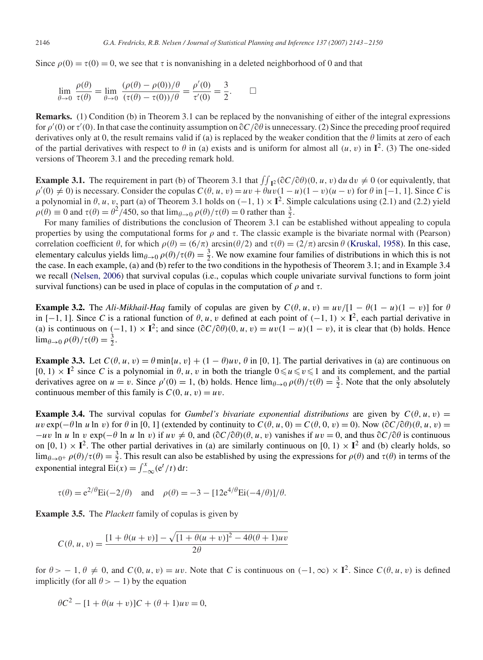Since  $\rho(0) = \tau(0) = 0$ , we see that  $\tau$  is nonvanishing in a deleted neighborhood of 0 and that

$$
\lim_{\theta \to 0} \frac{\rho(\theta)}{\tau(\theta)} = \lim_{\theta \to 0} \frac{(\rho(\theta) - \rho(0))/\theta}{(\tau(\theta) - \tau(0))/\theta} = \frac{\rho'(0)}{\tau'(0)} = \frac{3}{2}.
$$

**Remarks.** (1) Condition (b) in Theorem 3.1 can be replaced by the nonvanishing of either of the integral expressions for  $\rho'(0)$  or  $\tau'(0)$ . In that case the continuity assumption on  $\partial C/\partial \theta$  is unnecessary. (2) Since the preceding proof required derivatives only at 0, the result remains valid if (a) is replaced by the weaker condition derivatives only at 0, the result remains valid if (a) is replaced by the weaker condition that the  $\theta$  limits at zero of each of the partial derivatives with respect to  $\theta$  in (a) exists and is uniform for almost all  $(u, v)$  in  $\mathbf{I}^2$ . (3) The one-sided versions of Theorem 3.1 and the preceding remark hold.

**Example 3.1.** The requirement in part (b) of Theorem 3.1 that  $\iint_R 2(\partial C/\partial \theta)(0, u, v) du dv \neq 0$  (or equivalently, that  $\iint_R 2(\partial C/\partial \theta)(0, u, v) du dv \neq 0$  (or equivalently, that  $\rho'(0) \neq 0$ ) is necessary. Consider the copulas  $C(\theta, u, v) = uv + \theta uv(1 - u)(1 - v)(u - v)$  for  $\theta$  in [−1, 1]. Since *C* is a polynomial in  $\theta$ , u, v, part (a) of Theorem 3.1 holds on  $(-1, 1) \times I^2$ . Simple calculations using (2.1) and (2.2) yield  $\rho(\theta) \equiv 0$  and  $\tau(\theta) = \frac{\theta^2}{450}$ , so that  $\lim_{\theta \to 0} \rho(\theta)/\tau(\theta) = 0$  rather than  $\frac{3}{2}$ .<br>For many families of distributions the conclusion of Theorem 3.1 can

For many families of distributions the conclusion of Theorem 3.1 can be established without appealing to copula properties by using the computational forms for  $\rho$  and  $\tau$ . The classic example is the bivariate normal with (Pearson) correlation coefficient  $\theta$ , for which  $\rho(\theta) = (6/\pi) \arcsin(\theta/2)$  and  $\tau(\theta) = (2/\pi) \arcsin \theta$  [\(Kruskal, 1958\)](#page-7-0). In this case, elementary calculus vields  $\lim_{\theta \to 0} \rho(\theta)/\tau(\theta) - \frac{3}{2}$ . We now examine four families of distribution elementary calculus yields  $\lim_{\theta \to 0} \rho(\theta)/\tau(\theta) = \frac{3}{2}$ . We now examine four families of distributions in which this is not the case. In each example (a) and (b) refer to the two conditions in the hypothesis of Theorem the case. In each example, (a) and (b) refer to the two conditions in the hypothesis of Theorem 3.1; and in Example 3.4 we recall [\(Nelsen, 2006\)](#page-7-0) that survival copulas (i.e., copulas which couple univariate survival functions to form joint survival functions) can be used in place of copulas in the computation of  $\rho$  and  $\tau$ .

**Example 3.2.** The *Ali-Mikhail-Haq* family of copulas are given by  $C(\theta, u, v) = uv/[1 - \theta(1 - u)(1 - v)]$  for  $\theta$ in  $[-1, 1]$ . Since *C* is a rational function of  $\theta$ , u, v defined at each point of  $(-1, 1) \times I^2$ , each partial derivative in (a) is continuous on  $(-1, 1) \times \mathbf{I}^2$ ; and since  $(\partial C/\partial \theta)(0, u, v) = uv(1 - u)(1 - v)$ , it is clear that (b) holds. Hence  $\lim_{\theta \to 0} \rho(\theta) / \tau(\theta) = \frac{3}{2}.$ 

**Example 3.3.** Let  $C(\theta, u, v) = \theta \min\{u, v\} + (1 - \theta)uv, \theta$  in [0, 1]. The partial derivatives in (a) are continuous on  $[0, 1) \times I^2$  since *C* is a polynomial in  $\theta$ , *u*, *v* in both the triangle  $0 \le u \le v \le 1$  and its complement, and the partial derivatives agree on  $u = v$ . Since  $a'(0) = 1$  (b) holds. Hence  $\lim_{\theta \to 0} a(\theta)/\tau(\theta) = \frac{3}{2}$ .  $u \leq v \leq$ derivatives agree on  $u = v$ . Since  $\rho'(0) = 1$ , (b) holds. Hence  $\lim_{\theta \to 0} \rho(\theta)/\tau(\theta) = \frac{3}{2}$ . Note that the only absolutely continuous member of this family is  $C(0, u, v) = uv$ . continuous member of this family is  $C(0, u, v) = uv$ .

**Example 3.4.** The survival copulas for *Gumbel's bivariate exponential distributions* are given by  $C(\theta, u, v) =$  $uv \exp(-\theta \ln u \ln v)$  for  $\theta$  in [0, 1] (extended by continuity to  $C(\theta, u, 0) = C(\theta, 0, v) = 0$ ). Now  $(\partial C/\partial \theta)(\theta, u, v) =$ <br> $-uv \ln u \ln v$  exp( $-\theta \ln u \ln v$ ) if  $uv \neq 0$  and  $(\partial C/\partial \theta)(\theta, u, v)$  vanishes if  $uv = 0$  and thus  $\partial C/\partial \theta$  is continu  $-uv \ln u \ln v \exp(-\theta \ln u \ln v)$  if  $uv \neq 0$ , and  $(\partial C/\partial \theta)(\theta, u, v)$  vanishes if  $uv = 0$ , and thus  $\partial C/\partial \theta$  is continuous<br>on  $[0, 1) \times I^2$ . The other partial derivatives in (a) are similarly continuous on  $[0, 1) \times I^2$  and (b) clear on  $[0, 1) \times I^2$ . The other partial derivatives in (a) are similarly continuous on  $[0, 1) \times I^2$  and (b) clearly holds, so  $\lim_{\theta \to 0^+} \rho(\theta)/\tau(\theta) = \frac{3}{2}$ . This result can also be established by using the expressions for  $\rho(\theta)$  and  $\tau(\theta)$  in terms of the exponential integral  $\text{Ei}(x) = \int_{-\infty}^{x} (e^t / t) dt$ :

$$
\tau(\theta) = e^{2/\theta} \text{Ei}(-2/\theta)
$$
 and  $\rho(\theta) = -3 - [12e^{4/\theta} \text{Ei}(-4/\theta)]/\theta$ .

**Example 3.5.** The *Plackett* family of copulas is given by

$$
C(\theta, u, v) = \frac{[1 + \theta(u + v)] - \sqrt{[1 + \theta(u + v)]^2 - 4\theta(\theta + 1)uv}}{2\theta}
$$

for  $\theta > -1$ ,  $\theta \neq 0$ , and  $C(0, u, v) = uv$ . Note that *C* is continuous on  $(-1, \infty) \times \mathbf{I}^2$ . Since  $C(\theta, u, v)$  is defined implicitly (for all  $\theta > -1$ ) by the equation

$$
\theta C^2 - [1 + \theta(u+v)]C + (\theta + 1)uv = 0,
$$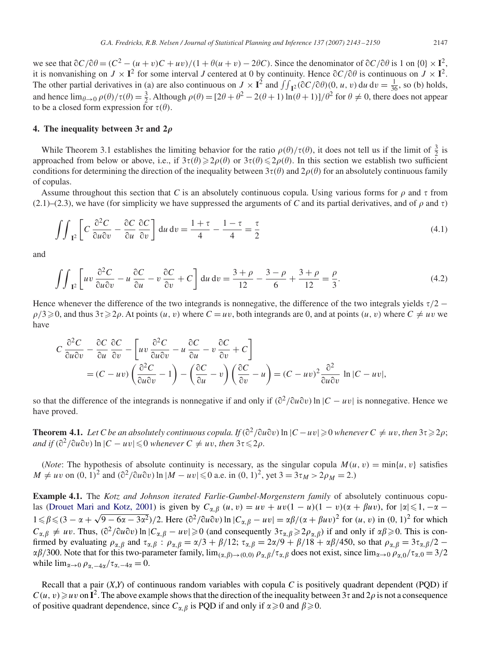we see that  $\partial C/\partial \theta = (C^2 - (u+v)C + uv)/(1 + \theta(u+v) - 2\theta C)$ . Since the denominator of  $\partial C/\partial \theta$  is 1 on  $\{0\} \times \mathbf{I}^2$ ,<br>it is nonvanishing on  $I \times \mathbf{I}^2$  for some interval Lentered at 0 by continuity. Hence  $\partial C/\partial \theta$  is contin it is nonvanishing on  $J \times \mathbf{I}^2$  for some interval *J* centered at 0 by continuity. Hence  $\partial C/\partial \theta$  is continuous on  $J \times \mathbf{I}^2$ .<br>The other partial derivatives in (a) are also continuous on  $J \times \mathbf{I}^2$  and  $f \cdot (\partial C/\$ The other partial derivatives in (a) are also continuous on  $J \times \mathbf{I}^2$  and  $\iint_{\mathbf{I}^2} (\partial C/\partial \theta)(0, u, v) du dv = \frac{1}{36}$ , so (b) holds, and hence  $\lim_{\theta \to 0} \rho(\theta)/\tau(\theta) = \frac{3}{2}$ . Although  $\rho(\theta) = [2\theta + \theta^2 - 2(\theta + 1)\ln(\theta + 1)]/\theta^2$  for  $\theta \neq 0$ , there does not appear to be a closed form expression for  $\tau(\theta)$ .

#### **4.** The inequality between  $3\tau$  and  $2\rho$

While Theorem 3.1 establishes the limiting behavior for the ratio  $\rho(\theta)/\tau(\theta)$ , it does not tell us if the limit of  $\frac{3}{2}$  is<br>progeded from below or above i.e. if  $3\tau(\theta) > 2\rho(\theta)$  or  $3\tau(\theta) < 2\rho(\theta)$ . In this section w approached from below or above, i.e., if  $3\tau(\theta) \geq 2\rho(\theta)$  or  $3\tau(\theta) \leq 2\rho(\theta)$ . In this section we establish two sufficient<br>conditions for determining the direction of the inequality between  $3\tau(\theta)$  and  $2\rho(\theta)$  for a conditions for determining the direction of the inequality between  $3\tau(\theta)$  and  $2\rho(\theta)$  for an absolutely continuous family of converse of copulas.

Assume throughout this section that *C* is an absolutely continuous copula. Using various forms for  $\rho$  and  $\tau$  from  $(2.1)$ – $(2.3)$ , we have (for simplicity we have suppressed the arguments of *C* and its partial derivatives, and of  $\rho$  and  $\tau$ )

$$
\int\int_{\mathbb{T}^2} \left[ C \frac{\partial^2 C}{\partial u \partial v} - \frac{\partial C}{\partial u} \frac{\partial C}{\partial v} \right] du dv = \frac{1 + \tau}{4} - \frac{1 - \tau}{4} = \frac{\tau}{2}
$$
(4.1)

and

$$
\iint_{I^2} \left[ uv \frac{\partial^2 C}{\partial u \partial v} - u \frac{\partial C}{\partial u} - v \frac{\partial C}{\partial v} + C \right] du dv = \frac{3+\rho}{12} - \frac{3-\rho}{6} + \frac{3+\rho}{12} = \frac{\rho}{3}.
$$
 (4.2)

Hence whenever the difference of the two integrands is nonnegative, the difference of the two integrals yields  $\tau/2$  −  $\rho/3 \ge 0$ , and thus  $3\tau \ge 2\rho$ . At points  $(u, v)$  where  $C = uv$ , both integrands are 0, and at points  $(u, v)$  where  $C \ne uv$  we have

$$
C \frac{\partial^2 C}{\partial u \partial v} - \frac{\partial C}{\partial u} \frac{\partial C}{\partial v} - \left[ uv \frac{\partial^2 C}{\partial u \partial v} - u \frac{\partial C}{\partial u} - v \frac{\partial C}{\partial v} + C \right]
$$
  
=  $(C - uv) \left( \frac{\partial^2 C}{\partial u \partial v} - 1 \right) - \left( \frac{\partial C}{\partial u} - v \right) \left( \frac{\partial C}{\partial v} - u \right) = (C - uv)^2 \frac{\partial^2}{\partial u \partial v}$  ln  $|C - uv|$ ,

so that the difference of the integrands is nonnegative if and only if  $\left(\frac{\partial^2}{\partial u \partial v}\right) \ln |C - uv|$  is nonnegative. Hence we have proved have proved.

**Theorem 4.1.** *Let C be an absolutely continuous copula. If*  $(\partial^2/\partial u \partial v)$  ln |*C* − *uv*| ≥ 0 *whenever C* ≠ *uv*, *then* 3 $\tau$  ≥ 2 $\rho$ ;<br>and if  $(\partial^2/\partial u \partial v)$  ln |*C* − *uv*| ≤ 0 *whenever C* + *uv, then* 3 $\tau$   $and if$   $(\partial^2/\partial u \partial v)$  ln  $|C - uv| \leq 0$  *whenever*  $C \neq uv$ *, then*  $3\tau \leq 2\rho$ *.* 

(*Note*: The hypothesis of absolute continuity is necessary, as the singular copula  $M(u, v) = \min\{u, v\}$  satisfies  $M \neq uv$  on  $(0, 1)^2$  and  $(\partial^2/\partial u \partial v) \ln |M - uv| \le 0$  a.e. in  $(0, 1)^2$ , yet  $3 = 3\tau_M > 2\rho_M = 2$ .

**Example 4.1.** The *Kotz and Johnson iterated Farlie-Gumbel-Morgenstern family* of absolutely continuous copu-las [\(Drouet Mari and Kotz, 2001\)](#page-7-0) is given by  $C_{\alpha}$ <br>  $1 \le \beta \le (3 - \alpha + \sqrt{9 - 6\alpha - 3\alpha^2})/2$ . Here  $(\partial^2/\partial u\partial^2)$  $\int_{\mathcal{B}} (u, v) = uv + uv(1 - u)(1 - v)(\alpha + \beta uv)$ , for  $|\alpha| \le 1, -\alpha \alpha + \sqrt{9 - 6a - 3a^2}$ )/2. Here  $(\partial^2/\partial u \partial v) \ln |C_{\alpha,\beta} - uv| = \alpha\beta/(\alpha + \beta uv)^2$  for  $(u, v)$  in  $(0, 1)^2$  for which  $C_{\alpha,\beta} \neq uv$ . Thus,  $(\partial^2/\partial u \partial v) \ln |C_{\alpha,\beta} - uv| \ge 0$  (and consequently  $3\tau_{\alpha,\beta} \ge 2\rho_{\alpha,\beta}$ ) if and only if  $\alpha\beta \ge 0$ . This is con-<br>firmed by evaluating  $\theta_{\alpha,\beta}$  and  $\tau_{\alpha,\beta}$  is  $\theta_{\alpha,\beta} = \frac{\gamma}{3} \pm \frac{\beta}{12} \cdot \tau_{\alpha,\beta$ firmed by evaluating  $\rho_{\alpha,\beta}$  and  $\tau_{\alpha,\beta}$ :  $\rho_{\alpha,\beta} = \alpha/3 + \beta/12$ ;  $\tau_{\alpha,\beta} = 2\alpha/9 + \beta/18 + \alpha\beta/450$ , so that  $\rho_{\alpha,\beta} = 3\tau_{\alpha,\beta}/2 - \beta/300$ . Note that for this two-parameter family lime  $\rho_{\alpha,\beta} = 2\alpha/9 + \beta/18 + \alpha\beta/450$  $\alpha\beta/300$ . Note that for this two-parameter family,  $\lim_{(\alpha,\beta)\to(0,0)} \rho_{\alpha,\beta}/\tau_{\alpha,\beta}$  does not exist, since  $\lim_{\alpha\to 0} \rho_{\alpha,0}/\tau_{\alpha,0} = 3/2$ <br>while  $\lim_{\alpha\to 0} \rho_{\alpha,0}/\tau_{\alpha,0} = 1/2$ while  $\lim_{\alpha\to 0} \rho_{\alpha,-4\alpha}/\tau_{\alpha,-4\alpha} = 0.$ 

Recall that a pair  $(X,Y)$  of continuous random variables with copula C is positively quadrant dependent (PQD) if  $C(u, v) \geq uv$  on  $\mathbf{I}^2$ . The above example shows that the direction of the inequality between  $3\tau$  and  $2\rho$  is not a consequence of positive quadrant dependence, since  $C_{\text{eff}}$  is POD if and only if  $\alpha > 0$  and  $\beta >$ of positive quadrant dependence, since  $C_{\alpha,\beta}$  is PQD if and only if  $\alpha \ge 0$  and  $\beta \ge 0$ .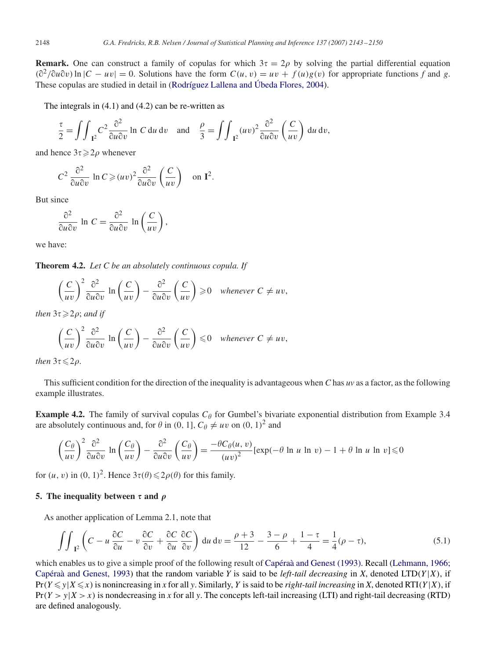**Remark.** One can construct a family of copulas for which  $3\tau = 2\rho$  by solving the partial differential equation  $(\partial^2/\partial u \partial v) \ln |C - uv| = 0$ . Solutions have the form  $C(u, v) = uv + f(u)g(v)$  for appropriate functions *f* and *g*.<br>These copulses are studied in detail in (Rodríguez I allena and Úbeda Flores 2004) These copulas are studied in detail in [\(Rodríguez Lallena and Úbeda Flores, 2004\)](#page-7-0).

The integrals in (4.1) and (4.2) can be re-written as

$$
\frac{\tau}{2} = \iint_{\mathbb{I}^2} C^2 \frac{\partial^2}{\partial u \partial v} \ln C \, \mathrm{d}u \, \mathrm{d}v \quad \text{and} \quad \frac{\rho}{3} = \iint_{\mathbb{I}^2} (uv)^2 \frac{\partial^2}{\partial u \partial v} \left(\frac{C}{uv}\right) \, \mathrm{d}u \, \mathrm{d}v,
$$

and hence  $3\tau \geqslant 2\rho$  whenever

$$
C^2 \frac{\partial^2}{\partial u \partial v} \ln C \ge (uv)^2 \frac{\partial^2}{\partial u \partial v} \left(\frac{C}{uv}\right) \quad \text{on } \mathbf{I}^2.
$$

But since

$$
\frac{\partial^2}{\partial u \partial v} \ln C = \frac{\partial^2}{\partial u \partial v} \ln \left( \frac{C}{uv} \right),
$$

we have:

**Theorem 4.2.** *Let C be an absolutely continuous copula. If*

$$
\left(\frac{C}{uv}\right)^2 \frac{\partial^2}{\partial u \partial v} \ln \left(\frac{C}{uv}\right) - \frac{\partial^2}{\partial u \partial v} \left(\frac{C}{uv}\right) \ge 0 \quad \text{whenever } C \ne uv,
$$

then  $3\tau \!\geqslant\! 2\rho;$  and if

$$
\left(\frac{C}{uv}\right)^2 \frac{\partial^2}{\partial u \partial v} \ln \left(\frac{C}{uv}\right) - \frac{\partial^2}{\partial u \partial v} \left(\frac{C}{uv}\right) \leq 0 \quad \text{whenever } C \neq uv,
$$

 $then$   $3\tau \leqslant 2\rho$ .

This sufficient condition for the direction of the inequality is advantageous when *C* has *uv* as a factor, as the following example illustrates.

**Example 4.2.** The family of survival copulas  $C_\theta$  for Gumbel's bivariate exponential distribution from Example 3.4 are absolutely continuous and, for  $\theta$  in (0, 1],  $C_{\theta} \neq uv$  on (0, 1)<sup>2</sup> and

$$
\left(\frac{C_{\theta}}{uv}\right)^{2} \frac{\partial^{2}}{\partial u \partial v} \ln \left(\frac{C_{\theta}}{uv}\right) - \frac{\partial^{2}}{\partial u \partial v} \left(\frac{C_{\theta}}{uv}\right) = \frac{-\theta C_{\theta}(u, v)}{(uv)^{2}} [\exp(-\theta \ln u \ln v) - 1 + \theta \ln u \ln v] \le 0
$$

for  $(u, v)$  in  $(0, 1)^2$ . Hence  $3\tau(\theta) \leq 2\rho(\theta)$  for this family.

## **5.** The inequality between  $\tau$  and  $\rho$

As another application of Lemma 2.1, note that

$$
\iint_{\mathbb{I}^2} \left( C - u \frac{\partial C}{\partial u} - v \frac{\partial C}{\partial v} + \frac{\partial C}{\partial u} \frac{\partial C}{\partial v} \right) du dv = \frac{\rho + 3}{12} - \frac{3 - \rho}{6} + \frac{1 - \tau}{4} = \frac{1}{4} (\rho - \tau), \tag{5.1}
$$

which enables us to give a simple proof of the following result of [Capéraà and Genest \(1993\).](#page-7-0) Recall (Lehmann, 1966; Capéraà and Genest, 1993) that the random variable *Y* is said to be *left-tail decreasing* in *X*, denoted LTD( $Y|X$ ), if  $Pr(Y \le y | X \le x)$  is nonincreasing in *x* for all *y*. Similarly, *Y* is said to be *right-tail increasing* in *X*, denoted RTI(*Y*|*X*), if  $Pr(Y > y | X > x)$  is nondecreasing in *x* for all *y*. The concepts left-tail increasing (LTI) and right-tail decreasing (RTD) are defined analogously.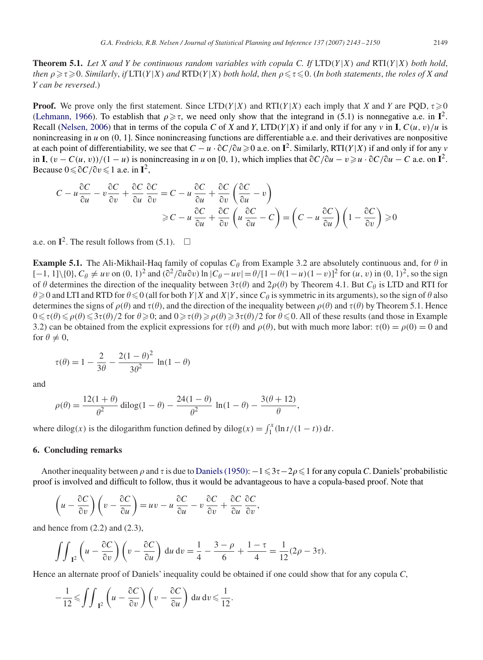**Theorem 5.1.** *Let X and Y be continuous random variables with copula C. If*  $LTD(Y|X)$  *and*  $RTI(Y|X)$  *both hold*,  $t$ hen  $\rho \geqslant \tau \geqslant 0$ . Similarly, if  $LTI(Y|X)$  and  $RTD(Y|X)$  both hold, then  $\rho \leqslant \tau \leqslant 0$ . (In both statements, the roles of X and X can be reversed) *Y can be reversed*.)

**Proof.** We prove only the first statement. Since  $LTD(Y|X)$  and  $RTI(Y|X)$  each imply that *X* and *Y* are PQD,  $\tau \ge 0$ [\(Lehmann, 1966\)](#page-7-0). To establish that  $\rho \ge \tau$ , we need only show that the integrand in (5.1) is nonnegative a.e. in **I**<sup>2</sup>. Recall [\(Nelsen, 2006\)](#page-7-0) that in terms of the copula *C* of *X* and *Y*, LTD(*Y*|*X*) if and only if for any *v* in **I**,  $C(u, v)/u$  is nonincreasing in *<sup>u</sup>* on (0, <sup>1</sup>]. Since nonincreasing functions are differentiable a.e. and their derivatives are nonpositive at each point of differentiability, we see that  $C - u \cdot \partial C / \partial u \ge 0$  a.e. on  $\mathbf{I}^2$ . Similarly, RTI(Y|X) if and only if for any *v*<br>in  $\mathbf{I}$  (*u* −  $C(u, v)$ )/(1 − *u*) is nonincreasing in *u* on [0, 1), which implies  $\frac{C}{0}$ in **I**,  $(v - C(u, v))/(1 - u)$  is nonincreasing in *u* on [0, 1), which implies that  $\partial C/\partial u - v \ge u \cdot \partial C/\partial u - C$  a.e. on **I**<sup>2</sup>.<br>Because  $0 \le \partial C/\partial v \le 1$  a.e. in **I**<sup>2</sup> Because  $0 \leq \partial C / \partial v \leq 1$  a.e. in  $\mathbf{I}^2$ ,

$$
C - u \frac{\partial C}{\partial u} - v \frac{\partial C}{\partial v} + \frac{\partial C}{\partial u} \frac{\partial C}{\partial v} = C - u \frac{\partial C}{\partial u} + \frac{\partial C}{\partial v} \left( \frac{\partial C}{\partial u} - v \right)
$$
  

$$
\geq C - u \frac{\partial C}{\partial u} + \frac{\partial C}{\partial v} \left( u \frac{\partial C}{\partial u} - C \right) = \left( C - u \frac{\partial C}{\partial u} \right) \left( 1 - \frac{\partial C}{\partial v} \right) \geq 0
$$

a.e. on  $I^2$ . The result follows from (5.1).  $\Box$ 

**Example 5.1.** The Ali-Mikhail-Haq family of copulas  $C_\theta$  from Example 3.2 are absolutely continuous and, for  $\theta$  in  $[-1, 1] \times 0 \times C_2 \neq \mu$  on  $(0, 1)^2$  and  $(\frac{\partial^2}{\partial u \partial v}) \ln |C_2 - \mu v| = \frac{\theta}{1 - \theta} (1 - \mu)(1 - v)^2$  for  $(\mu, v) \ln$  $[-1, 1] \setminus \{0\}, C_{\theta} \neq uv$  on  $(0, 1)^2$  and  $(\partial^2/\partial u \partial v) \ln |C_{\theta} - uv| = \theta/[1 - \theta(1 - u)(1 - v)]^2$  for  $(u, v)$  in  $(0, 1)^2$ , so the sign of  $\theta$  determines the direction of the inequality between  $3\tau(\theta)$  and  $2\rho(\theta)$  by Theorem A 1. of  $\theta$  determines the direction of the inequality between  $3\tau(\theta)$  and  $2\rho(\theta)$  by Theorem 4.1. But  $C_{\theta}$  is LTD and RTI for  $\theta \le 0$  (all for both  $Y|Y$  and  $X|Y$  since  $C_{\theta}$  is symmetric in its arguments) so the si  $\theta \ge 0$  and LTI and RTD for  $\theta \le 0$  (all for both  $Y|X$  and  $X|Y$ , since  $C_{\theta}$  is symmetric in its arguments), so the sign of  $\theta$  also determines the signs of  $\rho(\theta)$  and  $\tau(\theta)$  and the direction of the inequality b determines the signs of  $\rho(\theta)$  and  $\tau(\theta)$ , and the direction of the inequality between  $\rho(\theta)$  and  $\tau(\theta)$  by Theorem 5.1. Hence  $0 \le \tau(\theta) \le 2\tau(\theta)/2$  for  $\theta \ge 0$  and  $0 \ge \tau(\theta) \ge 3\tau(\theta)/2$  for  $\theta \le 0$ . All of these resu  $0 \le \tau(\theta) \le \rho(\theta) \le 3\tau(\theta)/2$  for  $\theta \ge 0$ ; and  $0 \ge \tau(\theta) \ge \rho(\theta) \ge 3\tau(\theta)/2$  for  $\theta \le 0$ . All of these results (and those in Example 3.2) can be obtained from the explicit expressions for  $\tau(\theta)$  and  $\rho(\theta)$  but with much m 3.2) can be obtained from the explicit expressions for  $\tau(\theta)$  and  $\rho(\theta)$ , but with much more labor:  $\tau(0) = \rho(0) = 0$  and for  $\theta \neq 0$ for  $\theta \neq 0$ ,

$$
\tau(\theta) = 1 - \frac{2}{3\theta} - \frac{2(1-\theta)^2}{3\theta^2} \ln(1-\theta)
$$

and

$$
\rho(\theta) = \frac{12(1+\theta)}{\theta^2} \text{ dilog}(1-\theta) - \frac{24(1-\theta)}{\theta^2} \ln(1-\theta) - \frac{3(\theta+12)}{\theta},
$$

where dilog(x) is the dilogarithm function defined by dilog(x) =  $\int_1^x (\ln t/(1-t)) dt$ .

## **6. Concluding remarks**

Another inequality between  $\rho$  and  $\tau$  is due to [Daniels \(1950\):](#page-7-0)  $-1 \leq 3\tau - 2\rho \leq 1$  for any copula *C*. Daniels' probabilistic proof is involved and difficult to follow, thus it would be advantageous to have a copula-based proof. Note that

$$
\left(u - \frac{\partial C}{\partial v}\right)\left(v - \frac{\partial C}{\partial u}\right) = uv - u\,\frac{\partial C}{\partial u} - v\,\frac{\partial C}{\partial v} + \frac{\partial C}{\partial u}\,\frac{\partial C}{\partial v},
$$

and hence from  $(2.2)$  and  $(2.3)$ ,

$$
\iint_{I^2} \left( u - \frac{\partial C}{\partial v} \right) \left( v - \frac{\partial C}{\partial u} \right) du dv = \frac{1}{4} - \frac{3 - \rho}{6} + \frac{1 - \tau}{4} = \frac{1}{12} (2\rho - 3\tau).
$$

Hence an alternate proof of Daniels' inequality could be obtained if one could show that for any copula *C*,

$$
-\frac{1}{12} \leqslant \iint_{\mathbf{I}^2} \left( u - \frac{\partial C}{\partial v} \right) \left( v - \frac{\partial C}{\partial u} \right) du dv \leqslant \frac{1}{12}.
$$